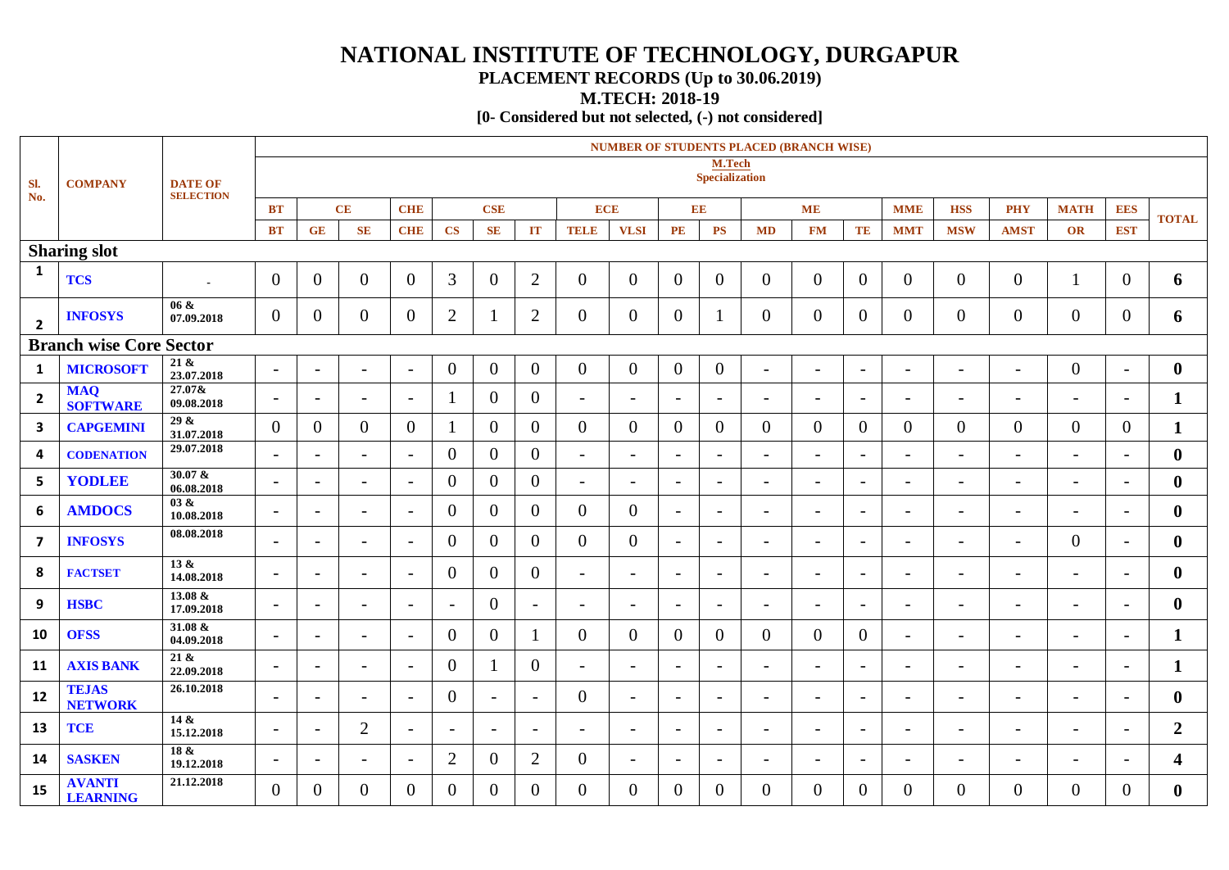## **NATIONAL INSTITUTE OF TECHNOLOGY, DURGAPUR**

## **PLACEMENT RECORDS (Up to 30.06.2019)**

**M.TECH: 2018-19**

**[0- Considered but not selected, (-) not considered]**

| SI.<br>No.              | <b>COMPANY</b>                   | <b>DATE OF</b><br><b>SELECTION</b> | <b>NUMBER OF STUDENTS PLACED (BRANCH WISE)</b> |                          |                          |                          |                          |                          |                          |                          |                          |                          |                          |                          |                          |                          |                          |                          |                          |                          |                          |                         |
|-------------------------|----------------------------------|------------------------------------|------------------------------------------------|--------------------------|--------------------------|--------------------------|--------------------------|--------------------------|--------------------------|--------------------------|--------------------------|--------------------------|--------------------------|--------------------------|--------------------------|--------------------------|--------------------------|--------------------------|--------------------------|--------------------------|--------------------------|-------------------------|
|                         |                                  |                                    | M.Tech<br><b>Specialization</b>                |                          |                          |                          |                          |                          |                          |                          |                          |                          |                          |                          |                          |                          |                          |                          |                          |                          |                          |                         |
|                         |                                  |                                    | <b>BT</b>                                      |                          | CE                       | <b>CHE</b>               |                          | <b>CSE</b>               |                          | <b>ECE</b>               |                          | EE                       |                          |                          | <b>ME</b>                |                          | <b>MME</b>               | <b>HSS</b>               | <b>PHY</b>               | <b>MATH</b>              | <b>EES</b>               | <b>TOTAL</b>            |
|                         |                                  |                                    | <b>BT</b>                                      | <b>GE</b>                | $\mathbf{SE}$            | <b>CHE</b>               | $\overline{\text{CS}}$   | <b>SE</b>                | IT                       | <b>TELE</b>              | <b>VLSI</b>              | $\mathbf{PE}$            | $\overline{\mathbf{PS}}$ | <b>MD</b>                | <b>FM</b>                | TE                       | <b>MMT</b>               | <b>MSW</b>               | <b>AMST</b>              | OR                       | <b>EST</b>               |                         |
| <b>Sharing slot</b>     |                                  |                                    |                                                |                          |                          |                          |                          |                          |                          |                          |                          |                          |                          |                          |                          |                          |                          |                          |                          |                          |                          |                         |
| $\mathbf{1}$            | <b>TCS</b>                       |                                    | $\overline{0}$                                 | $\overline{0}$           | $\overline{0}$           | $\overline{0}$           | $\overline{3}$           | $\overline{0}$           | $\overline{2}$           | $\overline{0}$           | $\overline{0}$           | $\overline{0}$           | $\overline{0}$           | $\overline{0}$           | $\overline{0}$           | $\overline{0}$           | $\overline{0}$           | $\overline{0}$           | $\mathbf{0}$             | 1                        | $\mathbf{0}$             | 6                       |
| $\overline{2}$          | <b>INFOSYS</b>                   | $06 \&$<br>07.09.2018              | $\overline{0}$                                 | $\overline{0}$           | $\overline{0}$           | $\overline{0}$           | $\overline{2}$           |                          | $\overline{2}$           | $\overline{0}$           | $\mathbf{0}$             | $\overline{0}$           |                          | $\overline{0}$           | $\overline{0}$           | $\overline{0}$           | $\overline{0}$           | $\overline{0}$           | $\mathbf{0}$             | $\overline{0}$           | $\theta$                 | 6                       |
|                         | <b>Branch wise Core Sector</b>   |                                    |                                                |                          |                          |                          |                          |                          |                          |                          |                          |                          |                          |                          |                          |                          |                          |                          |                          |                          |                          |                         |
| $\mathbf{1}$            | <b>MICROSOFT</b>                 | 21 &<br>23.07.2018                 | $\overline{\phantom{0}}$                       | $\overline{\phantom{a}}$ | $\overline{a}$           | $\overline{\phantom{a}}$ | $\overline{0}$           | $\overline{0}$           | $\overline{0}$           | $\overline{0}$           | $\overline{0}$           | $\overline{0}$           | $\overline{0}$           | $\overline{\phantom{a}}$ | $\blacksquare$           | $\overline{\phantom{0}}$ | $\blacksquare$           | $\overline{a}$           | $\overline{\phantom{a}}$ | $\overline{0}$           | $\equiv$                 | $\bf{0}$                |
| $\overline{2}$          | <b>MAQ</b><br><b>SOFTWARE</b>    | 27.07&<br>09.08.2018               | $\blacksquare$                                 | $\overline{\phantom{a}}$ | $\overline{\phantom{0}}$ | $\overline{\phantom{a}}$ |                          | $\theta$                 | $\overline{0}$           | $\overline{\phantom{0}}$ | $\overline{\phantom{a}}$ | $\overline{\phantom{a}}$ | $\blacksquare$           |                          | $\overline{\phantom{a}}$ | $\overline{\phantom{a}}$ |                          | $\overline{\phantom{a}}$ | $\overline{\phantom{0}}$ | $\overline{\phantom{0}}$ | $\overline{\phantom{0}}$ | $\mathbf{1}$            |
| 3                       | <b>CAPGEMINI</b>                 | 29 &<br>31.07.2018                 | $\Omega$                                       | $\overline{0}$           | $\boldsymbol{0}$         | $\overline{0}$           |                          | $\overline{0}$           | $\mathbf{0}$             | $\overline{0}$           | $\Omega$                 | $\overline{0}$           | $\overline{0}$           | $\overline{0}$           | $\overline{0}$           | $\overline{0}$           | $\overline{0}$           | $\overline{0}$           | $\mathbf{0}$             | $\mathbf{0}$             | $\overline{0}$           | $\mathbf{1}$            |
| 4                       | <b>CODENATION</b>                | 29.07.2018                         | $ \,$                                          | $\sim$                   | $\overline{a}$           | $\blacksquare$           | $\overline{0}$           | $\overline{0}$           | $\mathbf{0}$             | $\overline{\phantom{a}}$ | $\blacksquare$           | $\overline{\phantom{a}}$ | $\overline{\phantom{a}}$ | $-$                      | $\blacksquare$           | $\overline{\phantom{a}}$ | $-$                      | $\overline{\phantom{a}}$ | $\overline{a}$           | $\overline{\phantom{a}}$ | $\overline{\phantom{0}}$ | $\boldsymbol{0}$        |
| 5                       | YODLEE                           | $30.07 \&$<br>06.08.2018           | $-$                                            | $\overline{\phantom{a}}$ | $\sim$                   | $\overline{\phantom{a}}$ | $\overline{0}$           | $\overline{0}$           | $\overline{0}$           | $\overline{\phantom{a}}$ | $\overline{\phantom{a}}$ | $\overline{a}$           | $-$                      | $-$                      | $\blacksquare$           | $\overline{\phantom{a}}$ | $-$                      | $\overline{\phantom{a}}$ | $\overline{\phantom{a}}$ | $\overline{\phantom{a}}$ | $\sim$                   | $\bf{0}$                |
| 6                       | <b>AMDOCS</b>                    | 03 &<br>10.08.2018                 | $\overline{\phantom{a}}$                       | $\overline{\phantom{a}}$ | $\sim$                   | $\overline{\phantom{a}}$ | $\Omega$                 | $\theta$                 | $\Omega$                 | $\Omega$                 | $\theta$                 | $\overline{a}$           | $\overline{a}$           | $\overline{\phantom{0}}$ | $\equiv$                 | $\overline{\phantom{a}}$ | $\overline{\phantom{0}}$ | $\blacksquare$           | $\overline{a}$           | $\overline{\phantom{a}}$ | $\overline{a}$           | $\mathbf{0}$            |
| $\overline{\mathbf{z}}$ | <b>INFOSYS</b>                   | 08.08.2018                         | $\blacksquare$                                 | $\overline{\phantom{a}}$ | $\overline{\phantom{0}}$ | $\overline{\phantom{a}}$ | $\overline{0}$           | $\Omega$                 | $\overline{0}$           | $\overline{0}$           | $\mathbf{0}$             | $\overline{\phantom{a}}$ | $\blacksquare$           | $\overline{\phantom{0}}$ | $\overline{\phantom{a}}$ | $\overline{\phantom{a}}$ | $\overline{\phantom{0}}$ | $\overline{\phantom{a}}$ | $\overline{a}$           | $\overline{0}$           | $\overline{\phantom{0}}$ | $\bf{0}$                |
| 8                       | <b>FACTSET</b>                   | $\overline{13 \&}$<br>14.08.2018   | $\overline{\phantom{a}}$                       | $\overline{\phantom{a}}$ | $\overline{\phantom{a}}$ | $\overline{a}$           | $\overline{0}$           | $\theta$                 | $\overline{0}$           | $\overline{\phantom{a}}$ | $\overline{\phantom{a}}$ | $\overline{\phantom{a}}$ | $\overline{\phantom{a}}$ | $\overline{\phantom{a}}$ | $\overline{\phantom{a}}$ | $\overline{\phantom{a}}$ | $\overline{\phantom{a}}$ | $\overline{\phantom{a}}$ | $\overline{\phantom{0}}$ | $\overline{\phantom{a}}$ | $\blacksquare$           | $\bf{0}$                |
| 9                       | <b>HSBC</b>                      | 13.08 &<br>17.09.2018              | $\overline{\phantom{a}}$                       | $\overline{\phantom{a}}$ | $\overline{\phantom{0}}$ | $\overline{\phantom{0}}$ | $\overline{\phantom{a}}$ | $\theta$                 | $\overline{\phantom{a}}$ | $\overline{\phantom{a}}$ | $\overline{\phantom{a}}$ | $\overline{\phantom{a}}$ | $\overline{\phantom{a}}$ |                          | $\overline{\phantom{a}}$ | $\overline{\phantom{0}}$ | $\overline{\phantom{a}}$ | $\overline{\phantom{a}}$ | $\overline{\phantom{0}}$ | $\overline{\phantom{a}}$ | $\overline{\phantom{a}}$ | $\mathbf{0}$            |
| 10                      | <b>OFSS</b>                      | 31.08 &<br>04.09.2018              | $\overline{\phantom{a}}$                       | $\overline{\phantom{a}}$ | $\overline{\phantom{a}}$ | $\overline{a}$           | $\Omega$                 | $\theta$                 | $\mathbf{1}$             | $\theta$                 | $\Omega$                 | $\Omega$                 | $\Omega$                 | $\Omega$                 | $\Omega$                 | $\overline{0}$           | $\overline{\phantom{a}}$ | $\overline{\phantom{a}}$ | $\overline{\phantom{0}}$ | $\overline{\phantom{a}}$ | $\blacksquare$           | $\mathbf{1}$            |
| 11                      | <b>AXIS BANK</b>                 | 21 &<br>22.09.2018                 | $\overline{\phantom{a}}$                       | $\overline{\phantom{a}}$ | $\overline{\phantom{0}}$ | $\overline{\phantom{a}}$ | $\overline{0}$           |                          | $\overline{0}$           | $\overline{a}$           | $\overline{\phantom{0}}$ | $\overline{\phantom{a}}$ | $\overline{\phantom{0}}$ | $\overline{\phantom{0}}$ | $-$                      | $\overline{\phantom{0}}$ | $\overline{\phantom{0}}$ | $\overline{\phantom{a}}$ | $\overline{\phantom{0}}$ | $\overline{\phantom{0}}$ |                          | $\mathbf{1}$            |
| 12                      | <b>TEJAS</b><br><b>NETWORK</b>   | 26.10.2018                         | $\overline{\phantom{a}}$                       | $\overline{\phantom{a}}$ | $\overline{\phantom{a}}$ | $\overline{\phantom{a}}$ | $\theta$                 | $\overline{\phantom{a}}$ | $\overline{\phantom{a}}$ | $\theta$                 | $\overline{a}$           | $\overline{\phantom{a}}$ | $\overline{\phantom{a}}$ | $\overline{\phantom{a}}$ | $\overline{\phantom{a}}$ | $\overline{\phantom{a}}$ | $\overline{\phantom{a}}$ | $\overline{\phantom{a}}$ | $\overline{\phantom{a}}$ | $\overline{\phantom{a}}$ | $\blacksquare$           | $\bf{0}$                |
| 13                      | <b>TCE</b>                       | 14 &<br>15.12.2018                 | $\overline{\phantom{0}}$                       | $\overline{\phantom{0}}$ | $\overline{2}$           | $\overline{\phantom{a}}$ | $\overline{\phantom{0}}$ | $\overline{a}$           | $\overline{\phantom{a}}$ | $\overline{\phantom{0}}$ | $\overline{\phantom{0}}$ | $\overline{\phantom{a}}$ | $\overline{\phantom{0}}$ | $\overline{\phantom{0}}$ | $\equiv$                 | $\overline{\phantom{0}}$ | $\overline{\phantom{0}}$ | $\overline{\phantom{0}}$ | $\overline{\phantom{0}}$ | $\overline{\phantom{0}}$ |                          | $\overline{2}$          |
| 14                      | <b>SASKEN</b>                    | 18 &<br>19.12.2018                 | $\overline{\phantom{a}}$                       | $\overline{\phantom{a}}$ | $\overline{\phantom{a}}$ | $\overline{\phantom{a}}$ | $\overline{2}$           | $\overline{0}$           | $\overline{2}$           | $\overline{0}$           | $\sim$                   | $\overline{\phantom{a}}$ | $\overline{\phantom{a}}$ | $\overline{\phantom{a}}$ | $\overline{\phantom{a}}$ | $\overline{\phantom{a}}$ | $\overline{\phantom{a}}$ | $\overline{\phantom{a}}$ | $\overline{\phantom{a}}$ | $\overline{\phantom{a}}$ | $\overline{a}$           | $\overline{\mathbf{4}}$ |
| 15                      | <b>AVANTI</b><br><b>LEARNING</b> | 21.12.2018                         | $\Omega$                                       | $\overline{0}$           | $\overline{0}$           | $\Omega$                 | $\overline{0}$           | $\overline{0}$           | $\overline{0}$           | $\theta$                 | $\Omega$                 | $\overline{0}$           | $\Omega$                 | 0                        | $\overline{0}$           | $\theta$                 | 0                        | $\overline{0}$           | $\theta$                 | $\overline{0}$           | $\theta$                 | $\bf{0}$                |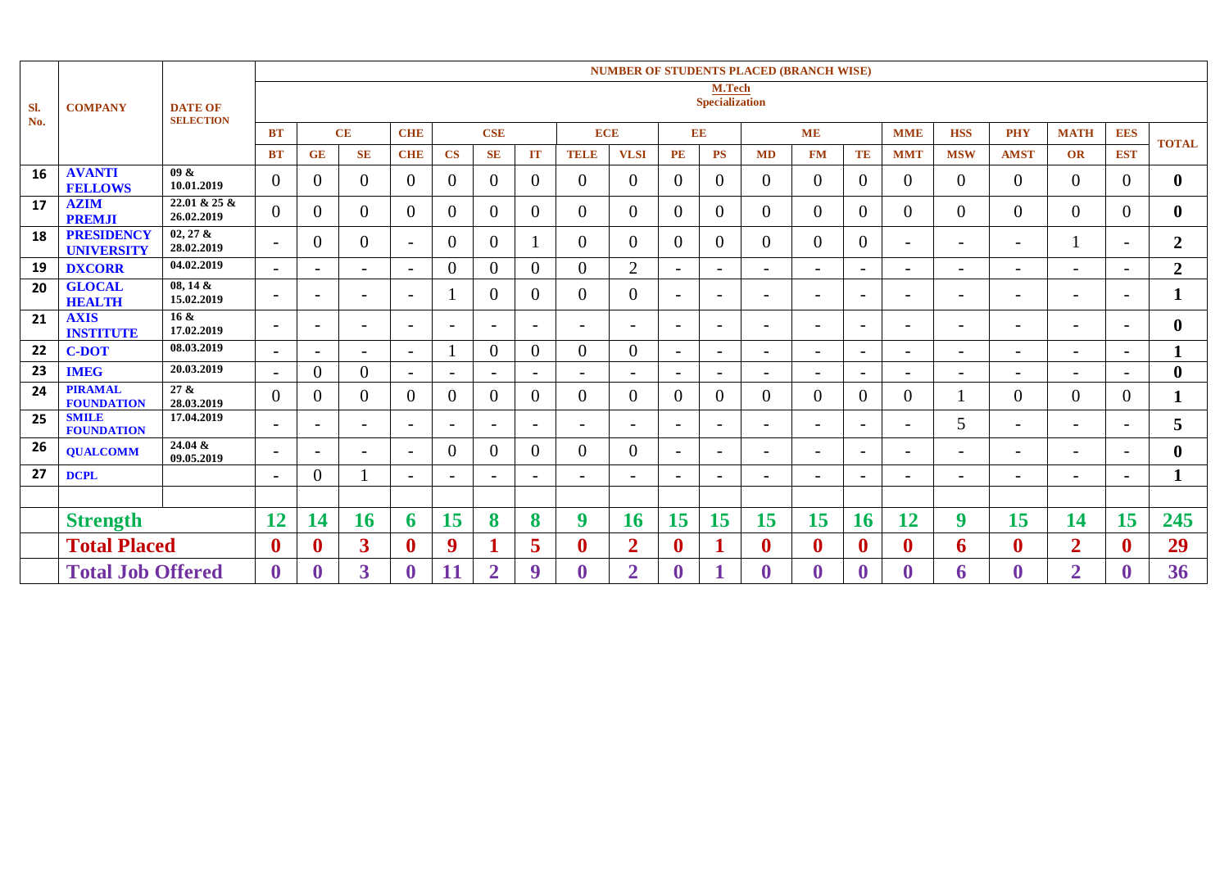|            | <b>COMPANY</b>                         | <b>DATE OF</b><br><b>SELECTION</b> | <b>NUMBER OF STUDENTS PLACED (BRANCH WISE)</b> |                          |                          |                          |                          |                          |                          |                          |                          |                          |                          |                          |                          |                          |                          |                          |                          |                          |                          |                  |
|------------|----------------------------------------|------------------------------------|------------------------------------------------|--------------------------|--------------------------|--------------------------|--------------------------|--------------------------|--------------------------|--------------------------|--------------------------|--------------------------|--------------------------|--------------------------|--------------------------|--------------------------|--------------------------|--------------------------|--------------------------|--------------------------|--------------------------|------------------|
| SI.<br>No. |                                        |                                    | M.Tech<br><b>Specialization</b>                |                          |                          |                          |                          |                          |                          |                          |                          |                          |                          |                          |                          |                          |                          |                          |                          |                          |                          |                  |
|            |                                        |                                    | <b>BT</b>                                      |                          | CE                       | <b>CHE</b>               |                          | <b>CSE</b>               |                          | <b>ECE</b>               |                          |                          | EE                       |                          | <b>ME</b>                |                          | <b>MME</b>               | <b>HSS</b>               | <b>PHY</b>               | <b>MATH</b>              | <b>EES</b>               | <b>TOTAL</b>     |
|            |                                        |                                    | <b>BT</b>                                      | <b>GE</b>                | <b>SE</b>                | <b>CHE</b>               | $\mathbf{CS}$            | <b>SE</b>                | IT                       | <b>TELE</b>              | <b>VLSI</b>              | $\mathbf{PE}$            | <b>PS</b>                | <b>MD</b>                | <b>FM</b>                | TE                       | <b>MMT</b>               | <b>MSW</b>               | <b>AMST</b>              | <b>OR</b>                | <b>EST</b>               |                  |
| 16         | <b>AVANTI</b><br><b>FELLOWS</b>        | 09 &<br>10.01.2019                 | $\mathbf{0}$                                   | $\Omega$                 | $\Omega$                 | $\Omega$                 | $\theta$                 | 0                        | $\Omega$                 | $\Omega$                 | $\Omega$                 | $\theta$                 | $\theta$                 | 0                        | $\theta$                 | $\Omega$                 | 0                        | $\theta$                 | $\Omega$                 | $\overline{0}$           | $\Omega$                 | $\mathbf{0}$     |
| 17         | <b>AZIM</b><br><b>PREMJI</b>           | 22.01 & 25 &<br>26.02.2019         | $\overline{0}$                                 | $\theta$                 | $\theta$                 | $\Omega$                 | $\overline{0}$           | 0                        | $\theta$                 | $\overline{0}$           | $\Omega$                 | $\theta$                 | $\overline{0}$           | 0                        | $\overline{0}$           | $\overline{0}$           | 0                        | $\theta$                 | $\overline{0}$           | $\overline{0}$           | $\Omega$                 | $\bf{0}$         |
| 18         | <b>PRESIDENCY</b><br><b>UNIVERSITY</b> | $02, 27$ &<br>28.02.2019           | $\overline{\phantom{a}}$                       | $\Omega$                 | $\theta$                 | $\overline{\phantom{0}}$ | $\theta$                 | 0                        |                          | $\Omega$                 | $\Omega$                 | $\Omega$                 | $\theta$                 | $\Omega$                 | $\overline{0}$           | $\Omega$                 | $\overline{\phantom{0}}$ | $\overline{a}$           | $\overline{\phantom{0}}$ |                          | $\overline{\phantom{0}}$ | $\overline{2}$   |
| 19         | <b>DXCORR</b>                          | 04.02.2019                         | $\overline{\phantom{0}}$                       |                          | $\overline{\phantom{0}}$ |                          | $\theta$                 | $\Omega$                 | $\overline{0}$           | $\theta$                 | $\overline{2}$           | $\overline{\phantom{0}}$ | $\overline{\phantom{a}}$ | $\overline{\phantom{a}}$ | $\overline{\phantom{a}}$ | $\overline{\phantom{a}}$ | $\overline{\phantom{0}}$ | $\overline{\phantom{0}}$ | $\overline{\phantom{0}}$ | $\overline{a}$           | $\overline{\phantom{0}}$ | $\overline{2}$   |
| 20         | <b>GLOCAL</b><br><b>HEALTH</b>         | $08, 14 \&$<br>15.02.2019          | $\overline{\phantom{0}}$                       | $\overline{\phantom{0}}$ | $\overline{\phantom{a}}$ | $\overline{\phantom{0}}$ |                          | $\Omega$                 | $\Omega$                 | $\Omega$                 | $\Omega$                 | $\overline{\phantom{a}}$ | $\overline{\phantom{a}}$ | $\overline{\phantom{a}}$ | $\overline{\phantom{a}}$ | $\overline{\phantom{0}}$ | $\overline{\phantom{0}}$ | $\overline{\phantom{a}}$ | $\overline{\phantom{0}}$ | $\overline{\phantom{a}}$ | $\overline{\phantom{a}}$ | $\mathbf{1}$     |
| 21         | <b>AXIS</b><br><b>INSTITUTE</b>        | $16 \&$<br>17.02.2019              | $\overline{\phantom{0}}$                       | $\overline{\phantom{0}}$ | $\overline{\phantom{0}}$ | $\overline{\phantom{0}}$ | $\overline{\phantom{a}}$ |                          | $\overline{\phantom{a}}$ | $\overline{\phantom{0}}$ | $\overline{\phantom{0}}$ | $\overline{\phantom{a}}$ | $\overline{\phantom{a}}$ | $\overline{\phantom{a}}$ | $\overline{\phantom{a}}$ | $\overline{\phantom{0}}$ | $\overline{\phantom{0}}$ | $\overline{\phantom{0}}$ | $\overline{\phantom{0}}$ | $\overline{\phantom{0}}$ | $\overline{\phantom{0}}$ | $\mathbf{0}$     |
| 22         | <b>C-DOT</b>                           | 08.03.2019                         | $\overline{\phantom{0}}$                       |                          |                          |                          |                          | $\Omega$                 | $\Omega$                 | $\theta$                 | $\Omega$                 | $\overline{\phantom{0}}$ | $\overline{\phantom{a}}$ |                          | $\overline{\phantom{0}}$ |                          |                          | $\overline{\phantom{0}}$ |                          | $\overline{a}$           |                          | $\mathbf{1}$     |
| 23         | <b>IMEG</b>                            | 20.03.2019                         | $\overline{\phantom{a}}$                       | $\overline{0}$           | $\Omega$                 |                          | $\overline{\phantom{a}}$ |                          | $\overline{\phantom{0}}$ | $\overline{a}$           | $\overline{\phantom{0}}$ | $\overline{\phantom{0}}$ | $\overline{\phantom{0}}$ | $\overline{a}$           | $\overline{\phantom{0}}$ | $\overline{\phantom{0}}$ | $\overline{\phantom{0}}$ | $\overline{\phantom{0}}$ |                          | $\overline{a}$           |                          | $\boldsymbol{0}$ |
| 24         | <b>PIRAMAL</b><br><b>FOUNDATION</b>    | 27 &<br>28.03.2019                 | $\overline{0}$                                 |                          | $\Omega$                 | $\Omega$                 | $\theta$                 | $\Omega$                 | $\Omega$                 | $\Omega$                 | $\Omega$                 | $\Omega$                 | $\theta$                 | 0                        | $\theta$                 | $\Omega$                 | $\Omega$                 |                          | 0                        | $\Omega$                 | $\Omega$                 | 1                |
| 25         | <b>SMILE</b><br><b>FOUNDATION</b>      | 17.04.2019                         | $\overline{\phantom{a}}$                       | $\overline{\phantom{a}}$ | $\overline{\phantom{a}}$ | $\overline{\phantom{0}}$ | $\overline{\phantom{a}}$ | $\overline{\phantom{a}}$ | $\overline{\phantom{a}}$ | $\overline{\phantom{a}}$ | $\overline{\phantom{a}}$ | $\overline{\phantom{a}}$ | $\overline{\phantom{a}}$ | $\overline{\phantom{a}}$ | $\overline{\phantom{a}}$ | $\overline{\phantom{a}}$ | $-$                      | 5                        | $\overline{\phantom{0}}$ | $\overline{a}$           | $\overline{\phantom{a}}$ | 5                |
| 26         | <b>OUALCOMM</b>                        | $24.04 \&$<br>09.05.2019           | $\overline{\phantom{0}}$                       | $\overline{\phantom{0}}$ |                          |                          | $\Omega$                 | $\Omega$                 | $\Omega$                 | $\Omega$                 | $\theta$                 | $\overline{\phantom{0}}$ | $\overline{\phantom{a}}$ | $\overline{\phantom{0}}$ | $\overline{\phantom{a}}$ | $\overline{\phantom{a}}$ | $\overline{\phantom{a}}$ | $\overline{\phantom{0}}$ | $\overline{\phantom{0}}$ | $\overline{a}$           | $\overline{\phantom{a}}$ | $\bf{0}$         |
| 27         | <b>DCPL</b>                            |                                    | $\overline{\phantom{a}}$                       | $\Omega$                 |                          |                          | $\overline{\phantom{a}}$ |                          | $\overline{\phantom{a}}$ | $\overline{\phantom{0}}$ | $\overline{\phantom{0}}$ | $\overline{\phantom{0}}$ | $\overline{\phantom{a}}$ | $\overline{\phantom{a}}$ | $\overline{\phantom{a}}$ | $\overline{\phantom{a}}$ | $\overline{\phantom{0}}$ | $\overline{\phantom{a}}$ | $\overline{\phantom{0}}$ | $\overline{a}$           | $\overline{\phantom{a}}$ | $\mathbf{1}$     |
|            |                                        |                                    |                                                |                          |                          |                          |                          |                          |                          |                          |                          |                          |                          |                          |                          |                          |                          |                          |                          |                          |                          |                  |
|            | <b>Strength</b>                        |                                    | 12                                             | $\overline{\mathcal{A}}$ | 16                       | n.                       | 15                       | 8                        | 8                        | 9                        | 16                       | 15                       | 15                       | 15                       | 15                       | 16                       | 12                       | 9                        | 15                       | 14                       | 15                       | 245              |
|            | <b>Total Placed</b>                    |                                    | $\boldsymbol{0}$                               |                          | 3                        | $\boldsymbol{0}$         | 9                        |                          | 5                        | $\mathbf{0}$             | $\overline{2}$           | $\boldsymbol{0}$         |                          | $\bf{0}$                 | $\boldsymbol{0}$         | $\mathbf{0}$             | $\bf{0}$                 | 6                        | $\mathbf{0}$             | $\overline{2}$           | $\mathbf{0}$             | 29               |
|            | <b>Total Job Offered</b>               |                                    | $\boldsymbol{0}$                               |                          | 3                        |                          | 11                       | $\overline{2}$           | 9                        |                          | $\overline{2}$           | $\boldsymbol{0}$         |                          |                          | $\boldsymbol{0}$         | $\boldsymbol{0}$         |                          | 6                        | $\bf{0}$                 | $\overline{2}$           | $\mathbf 0$              | 36               |